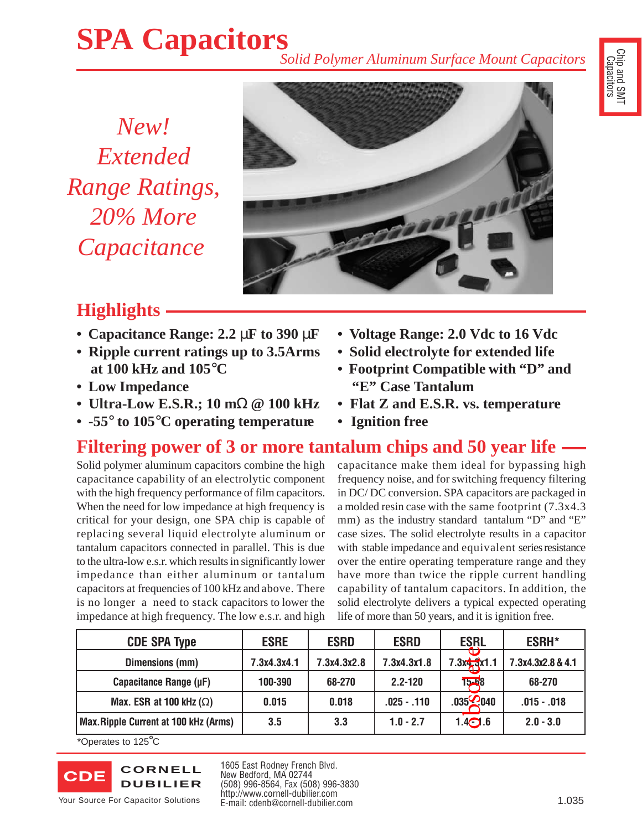# **SPA Capacitors***Solid Polymer Aluminum Surface Mount Capacitors*

*Extended Range Ratings, 20% More Capacitance*

*New!*



## **Highlights**

- **• Capacitance Range: 2.2** µ**F to 390** µ**F**
- **Ripple current ratings up to 3.5Arms at 100 kHz and 105**°**C**
- **Low Impedance**
- **Ultra-Low E.S.R.; 10 m**Ω **@ 100 kHz**
- **-55**° **to 105**°**C operating temperature**
- **• Voltage Range: 2.0 Vdc to 16 Vdc**
- **Solid electrolyte for extended life**
- **Footprint Compatible with "D" and "E" Case Tantalum**
- **Flat Z and E.S.R. vs. temperature**
- **• Ignition free**

### **Filtering power of 3 or more tantalum chips and 50 year life**

Solid polymer aluminum capacitors combine the high capacitance capability of an electrolytic component with the high frequency performance of film capacitors. When the need for low impedance at high frequency is critical for your design, one SPA chip is capable of replacing several liquid electrolyte aluminum or tantalum capacitors connected in parallel. This is due to the ultra-low e.s.r. which results in significantly lower impedance than either aluminum or tantalum capacitors at frequencies of 100 kHz and above. There is no longer a need to stack capacitors to lower the impedance at high frequency. The low e.s.r. and high

capacitance make them ideal for bypassing high frequency noise, and for switching frequency filtering in DC/ DC conversion. SPA capacitors are packaged in a molded resin case with the same footprint (7.3x4.3 mm) as the industry standard tantalum "D" and "E" case sizes. The solid electrolyte results in a capacitor with stable impedance and equivalent series resistance over the entire operating temperature range and they have more than twice the ripple current handling capability of tantalum capacitors. In addition, the solid electrolyte delivers a typical expected operating life of more than 50 years, and it is ignition free.

| <b>CDE SPA Type</b>                  | <b>ESRE</b> | <b>ESRD</b> | <b>ESRD</b>   | <b>ESRL</b>        | <b>ESRH*</b>      |
|--------------------------------------|-------------|-------------|---------------|--------------------|-------------------|
| Dimensions (mm)                      | 7.3x4.3x4.1 | 7.3x4.3x2.8 | 7.3x4.3x1.8   | $7.3x + 3x1.1$     | 7.3x4.3x2.8 & 4.1 |
| Capacitance Range (µF)               | 100-390     | 68-270      | $2.2 - 120$   | $15 - 58$          | 68-270            |
| Max. ESR at 100 kHz $(\Omega)$       | 0.015       | 0.018       | $.025 - .110$ | $.035\bigcirc 040$ | $.015-.018$       |
| Max.Ripple Current at 100 kHz (Arms) | 3.5         | 3.3         | $1.0 - 2.7$   | $1.4$ $O.6$        | $2.0 - 3.0$       |

\*Operates to 125˚C



1605 East Rodney French Blvd. New Bedford, MA 02744 (508) 996-8564, Fax (508) 996-3830 http://www.cornell-dubilier.com ntip.//www.comen-dubilier.com<br>E-mail: cdenb@cornell-dubilier.com 1.035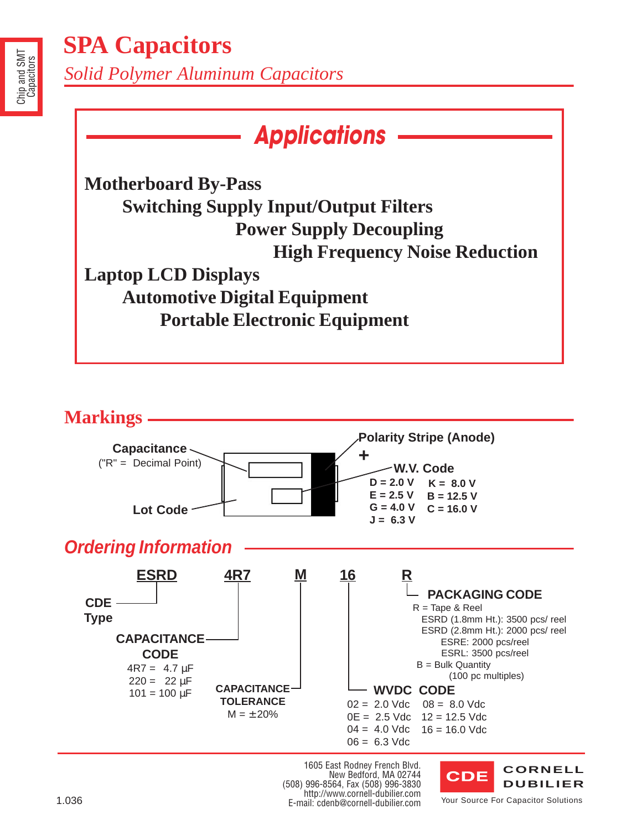*Solid Polymer Aluminum Capacitors*

# *Applications*

**Motherboard By-Pass Switching Supply Input/Output Filters Power Supply Decoupling High Frequency Noise Reduction Laptop LCD Displays Automotive Digital Equipment Portable Electronic Equipment**



1605 East Rodney French Blvd. New Bedford, MA 02744 (508) 996-8564, Fax (508) 996-3830 http://www.cornell-dubilier.com 1.036 E-mail: cdenb@cornell-dubilier.com

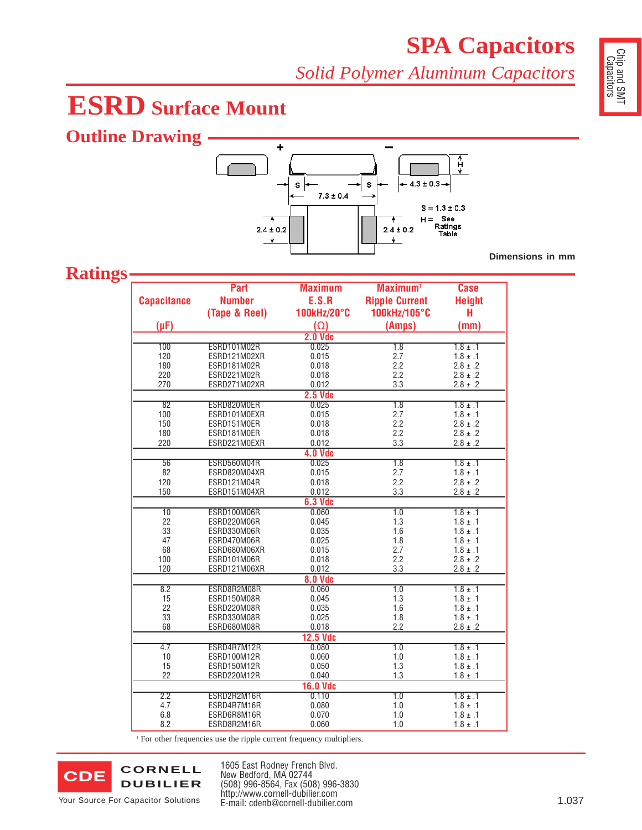*Solid Polymer Aluminum Capacitors*

# **ESRD Surface Mount**

### **Outline Drawing**



**Dimensions in mm**

### **Ratings**

|                    | Part               | <b>Maximum</b>  | Maximum <sup>1</sup>  | <b>Case</b>   |  |  |  |
|--------------------|--------------------|-----------------|-----------------------|---------------|--|--|--|
| <b>Capacitance</b> | <b>Number</b>      | E.S.R           | <b>Ripple Current</b> | <b>Height</b> |  |  |  |
|                    | (Tape & Reel)      | 100kHz/20°C     | 100kHz/105°C          | н             |  |  |  |
| $(\mu F)$          |                    | $(\Omega)$      | (Amps)                | (mm)          |  |  |  |
|                    |                    | $2.0$ Vdc       |                       |               |  |  |  |
| 100                | <b>ESRD101M02R</b> | 0.025           | $\overline{1.8}$      | $1.8 \pm .1$  |  |  |  |
| 120                | ESRD121M02XR       | 0.015           | 2.7                   | $1.8 \pm .1$  |  |  |  |
| 180                | ESRD181M02R        | 0.018           | 2.2                   | $2.8 \pm .2$  |  |  |  |
| 220                | ESRD221M02R        | 0.018           | 2.2                   | $2.8 \pm .2$  |  |  |  |
| 270                | ESRD271M02XR       | 0.012           | 3.3                   | $2.8 \pm .2$  |  |  |  |
|                    |                    | <b>2.5 Vdc</b>  |                       |               |  |  |  |
| $\overline{82}$    | ESRD820M0ER        | 0.025           | 1.8                   | $1.8 \pm .1$  |  |  |  |
| 100                | ESRD101M0EXR       | 0.015           | 2.7                   | $1.8 \pm .1$  |  |  |  |
| 150                | ESRD151M0ER        | 0.018           | 2.2                   | $2.8 \pm .2$  |  |  |  |
| 180                | ESRD181M0ER        | 0.018           | 2.2                   | $2.8 \pm .2$  |  |  |  |
| 220                | ESRD221M0EXR       | 0.012           | 3.3                   | $2.8 \pm .2$  |  |  |  |
|                    |                    | <b>4.0 Vdc</b>  |                       |               |  |  |  |
| 56                 | ESRD560M04R        | 0.025           | $\overline{1.8}$      | $1.8 \pm .1$  |  |  |  |
| 82                 | ESRD820M04XR       | 0.015           | 2.7                   | $1.8 \pm .1$  |  |  |  |
| 120                | ESRD121M04R        | 0.018           | 2.2                   | $2.8 \pm .2$  |  |  |  |
| 150                | ESRD151M04XR       | 0.012           | 3.3                   | $2.8 \pm .2$  |  |  |  |
|                    |                    | <b>6.3 Vdc</b>  |                       |               |  |  |  |
| $\overline{10}$    | ESRD100M06R        | 0.060           | $\overline{1.0}$      | $1.8 \pm .1$  |  |  |  |
| 22                 | ESRD220M06R        | 0.045           | 1.3                   | $1.8 \pm .1$  |  |  |  |
| 33                 | ESRD330M06R        | 0.035           | 1.6                   | $1.8 \pm .1$  |  |  |  |
| 47                 | ESRD470M06R        | 0.025           | 1.8                   | $1.8 \pm .1$  |  |  |  |
| 68                 | ESRD680M06XR       | 0.015           | 2.7                   | $1.8 \pm .1$  |  |  |  |
| 100                | ESRD101M06R        | 0.018           | 2.2                   | $2.8 \pm .2$  |  |  |  |
| 120                | ESRD121M06XR       | 0.012           | 3.3                   | $2.8 \pm .2$  |  |  |  |
|                    |                    | <b>8.0 Vdc</b>  |                       |               |  |  |  |
| 8.2                | ESRD8R2M08R        | 0.060           | $\overline{1.0}$      | $1.8 \pm .1$  |  |  |  |
| 15                 | ESRD150M08R        | 0.045           | 1.3                   | $1.8 \pm .1$  |  |  |  |
| 22                 | ESRD220M08R        | 0.035           | 1.6                   | $1.8 \pm .1$  |  |  |  |
| 33                 | ESRD330M08R        | 0.025           | 1.8                   | $1.8 \pm .1$  |  |  |  |
| 68                 | ESRD680M08R        | 0.018           | 2.2                   | $2.8 \pm .2$  |  |  |  |
|                    |                    | <b>12.5 Vdc</b> |                       |               |  |  |  |
| 4.7                | ESRD4R7M12R        | 0.080           | $\overline{1.0}$      | $1.8 \pm .1$  |  |  |  |
| 10                 | ESRD100M12R        | 0.060           | 1.0                   | $1.8 \pm .1$  |  |  |  |
| 15                 | ESRD150M12R        | 0.050           | 1.3                   | $1.8 \pm .1$  |  |  |  |
| 22                 | ESRD220M12R        | 0.040           | 1.3                   | $1.8 \pm .1$  |  |  |  |
| <b>16.0 Vdc</b>    |                    |                 |                       |               |  |  |  |
| $\overline{2.2}$   | ESRD2R2M16R        | 0.110           | $\overline{1.0}$      | $1.8 \pm .1$  |  |  |  |
| 4.7                | ESRD4R7M16R        | 0.080           | 1.0                   | $1.8 \pm .1$  |  |  |  |
| 6.8                | ESRD6R8M16R        | 0.070           | 1.0                   | $1.8 \pm .1$  |  |  |  |
| 8.2                | ESRD8R2M16R        | 0.060           | 1.0                   | $1.8 \pm .1$  |  |  |  |

<sup>1</sup> For other frequencies use the ripple current frequency multipliers.



1605 East Rodney French Blvd. New Bedford, MA 02744 (508) 996-8564, Fax (508) 996-3830 http://www.cornell-dubilier.com nttp://www.comen-dubilier.com<br>E-mail: cdenb@cornell-dubilier.com 1.037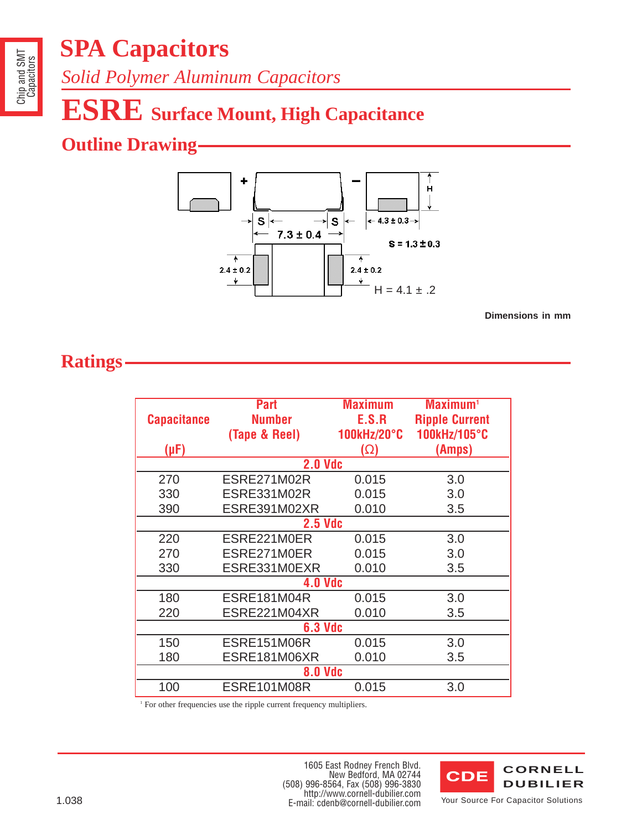*Solid Polymer Aluminum Capacitors*

# **ESRE Surface Mount, High Capacitance**

## **Outline Drawing**



**Dimensions in mm**

### **Ratings**

| <b>Capacitance</b><br>$(\mu F)$ | Part<br><b>Number</b><br>(Tape & Reel) | <b>Maximum</b><br>E.S.R<br><b>100kHz/20°C</b><br>$(\Omega)$ | Maximum <sup>1</sup><br><b>Ripple Current</b><br>100kHz/105°C<br>(Amps) |  |  |  |  |
|---------------------------------|----------------------------------------|-------------------------------------------------------------|-------------------------------------------------------------------------|--|--|--|--|
| $2.0$ Vdc                       |                                        |                                                             |                                                                         |  |  |  |  |
| 270                             | ESRE271M02R                            | 0.015                                                       | 3.0                                                                     |  |  |  |  |
| 330                             | ESRE331M02R                            | 0.015                                                       | 3.0                                                                     |  |  |  |  |
| 390                             | ESRE391M02XR                           | 0.010                                                       | 3.5                                                                     |  |  |  |  |
| $2.5$ Vdc                       |                                        |                                                             |                                                                         |  |  |  |  |
| 220                             | ESRE221M0ER                            | 0.015                                                       | 3.0                                                                     |  |  |  |  |
| 270                             | ESRE271M0ER                            | 0.015                                                       | 3.0                                                                     |  |  |  |  |
| 330                             | ESRE331M0EXR                           | 0.010                                                       | 3.5                                                                     |  |  |  |  |
| <b>4.0 Vdc</b>                  |                                        |                                                             |                                                                         |  |  |  |  |
| 180                             | <b>ESRE181M04R</b>                     | 0.015                                                       | 3.0                                                                     |  |  |  |  |
| 220                             | ESRE221M04XR                           | 0.010                                                       | 3.5                                                                     |  |  |  |  |
| <b>6.3 Vdc</b>                  |                                        |                                                             |                                                                         |  |  |  |  |
| 150                             | ESRE151M06R                            | 0.015                                                       | 3.0                                                                     |  |  |  |  |
| 180                             | ESRE181M06XR                           | 0.010                                                       | 3.5                                                                     |  |  |  |  |
| <b>8.0 Vdc</b>                  |                                        |                                                             |                                                                         |  |  |  |  |
| 100                             | ESRE101M08R                            | 0.015                                                       | 3.0                                                                     |  |  |  |  |

<sup>1</sup> For other frequencies use the ripple current frequency multipliers.

1605 East Rodney French Blvd. New Bedford, MA 02744 (508) 996-8564, Fax (508) 996-3830 http://www.cornell-dubilier.com<br>E-mail: cdenb@cornell-dubilier.com in E-mail: cdenb@cornell-dubilier.com



Your Source For Capacitor Solutions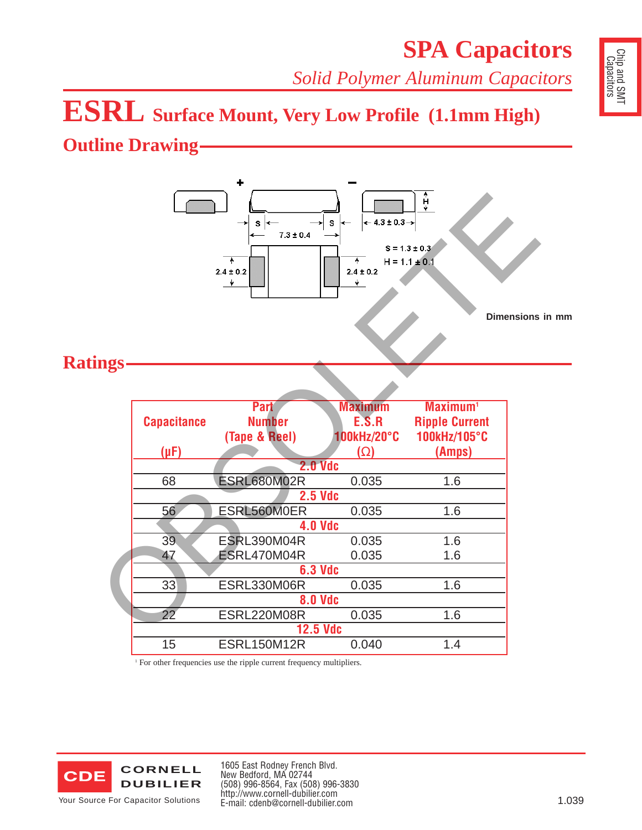*Solid Polymer Aluminum Capacitors*

# **ESRL Surface Mount, Very Low Profile (1.1mm High)**

### **Outline Drawing**



<sup>1</sup> For other frequencies use the ripple current frequency multipliers.



1605 East Rodney French Blvd. New Bedford, MA 02744 (508) 996-8564, Fax (508) 996-3830 http://www.cornell-dubilier.com ntp.//www.comen-dubilier.com<br>E-mail: cdenb@cornell-dubilier.com 1.039